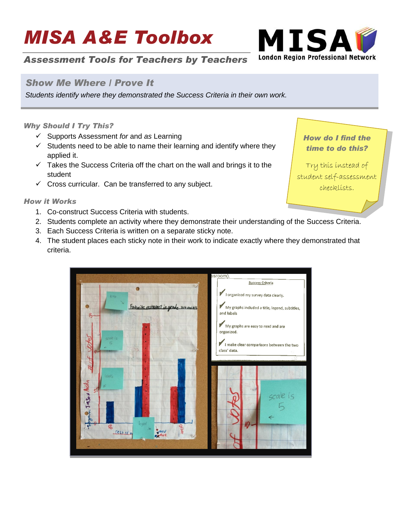# *MISA A&E Toolbox*



## *Assessment Tools for Teachers by Teachers*

### *Show Me Where / Prove It*

*Students identify where they demonstrated the Success Criteria in their own work.*

#### *Why Should I Try This?*

- Supports Assessment *for* and *as* Learning
- $\checkmark$  Students need to be able to name their learning and identify where they applied it.
- $\checkmark$  Takes the Success Criteria off the chart on the wall and brings it to the student
- $\checkmark$  Cross curricular. Can be transferred to any subject.

#### *How it Works*

- 1. Co-construct Success Criteria with students.
- 2. Students complete an activity where they demonstrate their understanding of the Success Criteria.
- 3. Each Success Criteria is written on a separate sticky note.
- 4. The student places each sticky note in their work to indicate exactly where they demonstrated that criteria.



*How do I find the time to do this?*

Try this instead of student self-assessment checklists.